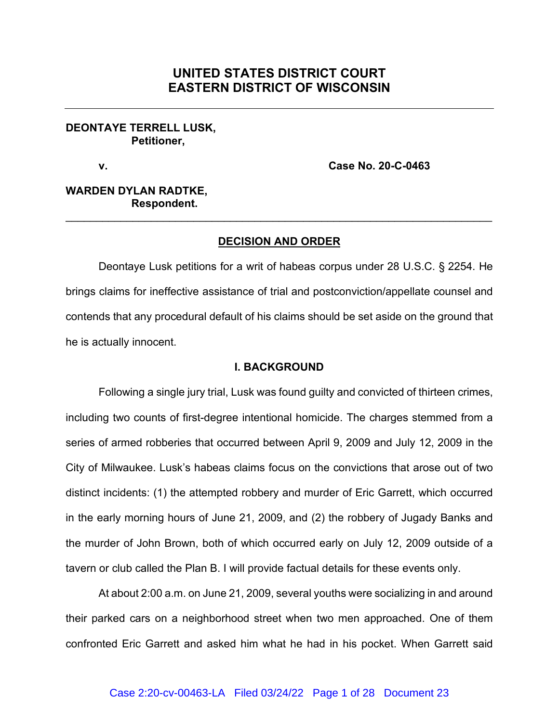# **UNITED STATES DISTRICT COURT EASTERN DISTRICT OF WISCONSIN**

#### **DEONTAYE TERRELL LUSK, Petitioner,**

**v. Case No. 20-C-0463**

## **WARDEN DYLAN RADTKE, Respondent.**

## **DECISION AND ORDER**

\_\_\_\_\_\_\_\_\_\_\_\_\_\_\_\_\_\_\_\_\_\_\_\_\_\_\_\_\_\_\_\_\_\_\_\_\_\_\_\_\_\_\_\_\_\_\_\_\_\_\_\_\_\_\_\_\_\_\_\_\_\_\_\_\_\_\_\_\_\_

Deontaye Lusk petitions for a writ of habeas corpus under 28 U.S.C. § 2254. He brings claims for ineffective assistance of trial and postconviction/appellate counsel and contends that any procedural default of his claims should be set aside on the ground that he is actually innocent.

#### **I. BACKGROUND**

Following a single jury trial, Lusk was found guilty and convicted of thirteen crimes, including two counts of first-degree intentional homicide. The charges stemmed from a series of armed robberies that occurred between April 9, 2009 and July 12, 2009 in the City of Milwaukee. Lusk's habeas claims focus on the convictions that arose out of two distinct incidents: (1) the attempted robbery and murder of Eric Garrett, which occurred in the early morning hours of June 21, 2009, and (2) the robbery of Jugady Banks and the murder of John Brown, both of which occurred early on July 12, 2009 outside of a tavern or club called the Plan B. I will provide factual details for these events only.

At about 2:00 a.m. on June 21, 2009, several youths were socializing in and around their parked cars on a neighborhood street when two men approached. One of them confronted Eric Garrett and asked him what he had in his pocket. When Garrett said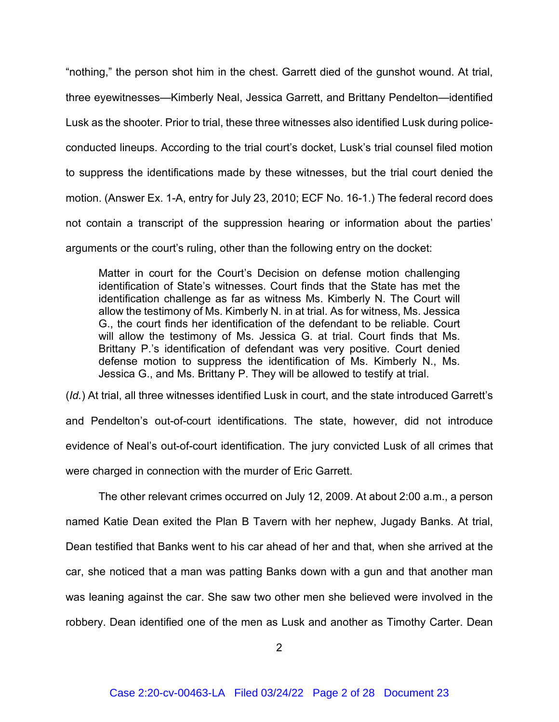"nothing," the person shot him in the chest. Garrett died of the gunshot wound. At trial, three eyewitnesses—Kimberly Neal, Jessica Garrett, and Brittany Pendelton—identified Lusk as the shooter. Prior to trial, these three witnesses also identified Lusk during policeconducted lineups. According to the trial court's docket, Lusk's trial counsel filed motion to suppress the identifications made by these witnesses, but the trial court denied the motion. (Answer Ex. 1-A, entry for July 23, 2010; ECF No. 16-1.) The federal record does not contain a transcript of the suppression hearing or information about the parties' arguments or the court's ruling, other than the following entry on the docket:

Matter in court for the Court's Decision on defense motion challenging identification of State's witnesses. Court finds that the State has met the identification challenge as far as witness Ms. Kimberly N. The Court will allow the testimony of Ms. Kimberly N. in at trial. As for witness, Ms. Jessica G., the court finds her identification of the defendant to be reliable. Court will allow the testimony of Ms. Jessica G. at trial. Court finds that Ms. Brittany P.'s identification of defendant was very positive. Court denied defense motion to suppress the identification of Ms. Kimberly N., Ms. Jessica G., and Ms. Brittany P. They will be allowed to testify at trial.

(*Id.*) At trial, all three witnesses identified Lusk in court, and the state introduced Garrett's and Pendelton's out-of-court identifications. The state, however, did not introduce evidence of Neal's out-of-court identification. The jury convicted Lusk of all crimes that were charged in connection with the murder of Eric Garrett.

The other relevant crimes occurred on July 12, 2009. At about 2:00 a.m., a person named Katie Dean exited the Plan B Tavern with her nephew, Jugady Banks. At trial, Dean testified that Banks went to his car ahead of her and that, when she arrived at the car, she noticed that a man was patting Banks down with a gun and that another man was leaning against the car. She saw two other men she believed were involved in the robbery. Dean identified one of the men as Lusk and another as Timothy Carter. Dean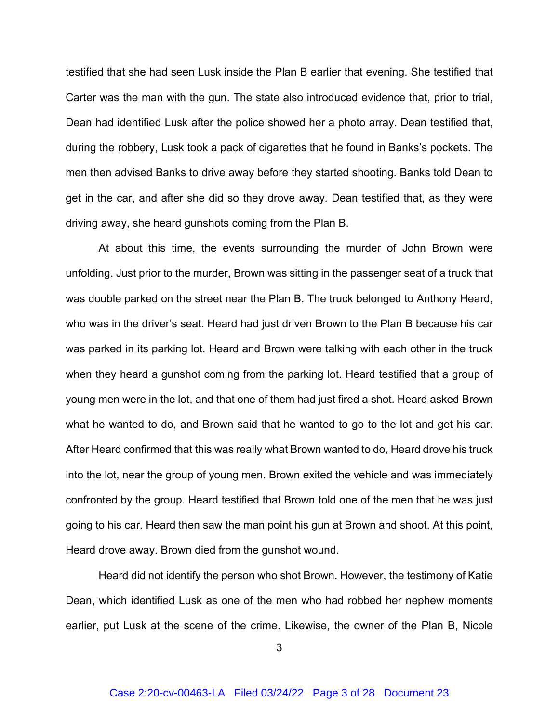testified that she had seen Lusk inside the Plan B earlier that evening. She testified that Carter was the man with the gun. The state also introduced evidence that, prior to trial, Dean had identified Lusk after the police showed her a photo array. Dean testified that, during the robbery, Lusk took a pack of cigarettes that he found in Banks's pockets. The men then advised Banks to drive away before they started shooting. Banks told Dean to get in the car, and after she did so they drove away. Dean testified that, as they were driving away, she heard gunshots coming from the Plan B.

At about this time, the events surrounding the murder of John Brown were unfolding. Just prior to the murder, Brown was sitting in the passenger seat of a truck that was double parked on the street near the Plan B. The truck belonged to Anthony Heard, who was in the driver's seat. Heard had just driven Brown to the Plan B because his car was parked in its parking lot. Heard and Brown were talking with each other in the truck when they heard a gunshot coming from the parking lot. Heard testified that a group of young men were in the lot, and that one of them had just fired a shot. Heard asked Brown what he wanted to do, and Brown said that he wanted to go to the lot and get his car. After Heard confirmed that this was really what Brown wanted to do, Heard drove his truck into the lot, near the group of young men. Brown exited the vehicle and was immediately confronted by the group. Heard testified that Brown told one of the men that he was just going to his car. Heard then saw the man point his gun at Brown and shoot. At this point, Heard drove away. Brown died from the gunshot wound.

Heard did not identify the person who shot Brown. However, the testimony of Katie Dean, which identified Lusk as one of the men who had robbed her nephew moments earlier, put Lusk at the scene of the crime. Likewise, the owner of the Plan B, Nicole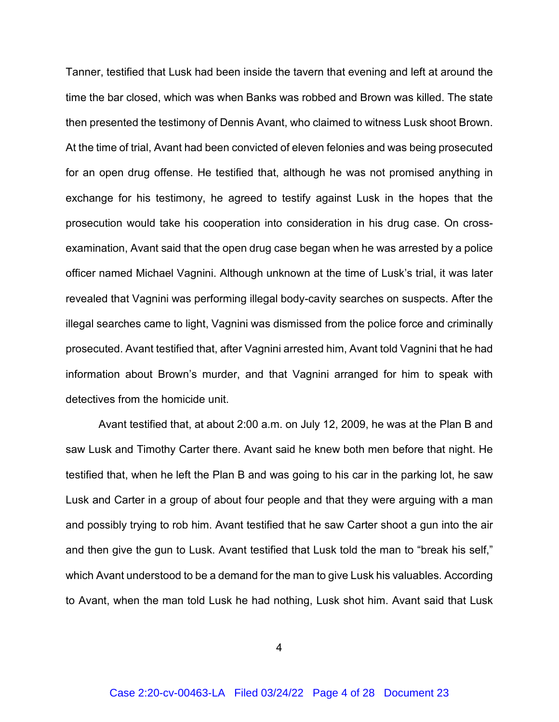Tanner, testified that Lusk had been inside the tavern that evening and left at around the time the bar closed, which was when Banks was robbed and Brown was killed. The state then presented the testimony of Dennis Avant, who claimed to witness Lusk shoot Brown. At the time of trial, Avant had been convicted of eleven felonies and was being prosecuted for an open drug offense. He testified that, although he was not promised anything in exchange for his testimony, he agreed to testify against Lusk in the hopes that the prosecution would take his cooperation into consideration in his drug case. On crossexamination, Avant said that the open drug case began when he was arrested by a police officer named Michael Vagnini. Although unknown at the time of Lusk's trial, it was later revealed that Vagnini was performing illegal body-cavity searches on suspects. After the illegal searches came to light, Vagnini was dismissed from the police force and criminally prosecuted. Avant testified that, after Vagnini arrested him, Avant told Vagnini that he had information about Brown's murder, and that Vagnini arranged for him to speak with detectives from the homicide unit.

Avant testified that, at about 2:00 a.m. on July 12, 2009, he was at the Plan B and saw Lusk and Timothy Carter there. Avant said he knew both men before that night. He testified that, when he left the Plan B and was going to his car in the parking lot, he saw Lusk and Carter in a group of about four people and that they were arguing with a man and possibly trying to rob him. Avant testified that he saw Carter shoot a gun into the air and then give the gun to Lusk. Avant testified that Lusk told the man to "break his self," which Avant understood to be a demand for the man to give Lusk his valuables. According to Avant, when the man told Lusk he had nothing, Lusk shot him. Avant said that Lusk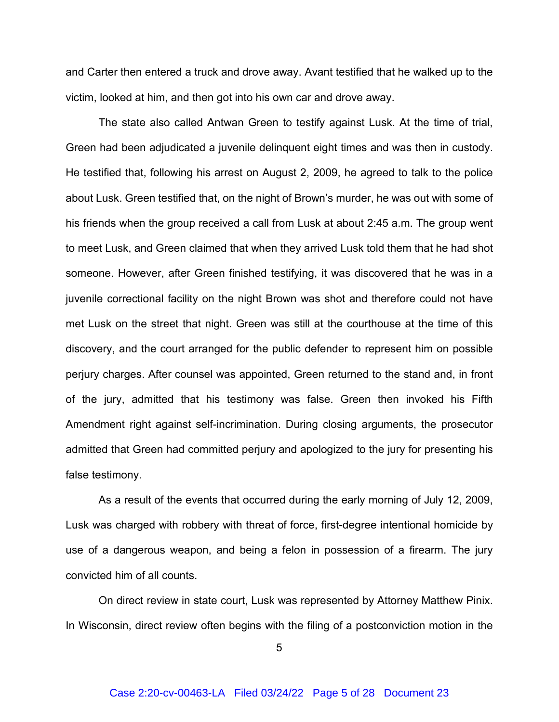and Carter then entered a truck and drove away. Avant testified that he walked up to the victim, looked at him, and then got into his own car and drove away.

The state also called Antwan Green to testify against Lusk. At the time of trial, Green had been adjudicated a juvenile delinquent eight times and was then in custody. He testified that, following his arrest on August 2, 2009, he agreed to talk to the police about Lusk. Green testified that, on the night of Brown's murder, he was out with some of his friends when the group received a call from Lusk at about 2:45 a.m. The group went to meet Lusk, and Green claimed that when they arrived Lusk told them that he had shot someone. However, after Green finished testifying, it was discovered that he was in a juvenile correctional facility on the night Brown was shot and therefore could not have met Lusk on the street that night. Green was still at the courthouse at the time of this discovery, and the court arranged for the public defender to represent him on possible perjury charges. After counsel was appointed, Green returned to the stand and, in front of the jury, admitted that his testimony was false. Green then invoked his Fifth Amendment right against self-incrimination. During closing arguments, the prosecutor admitted that Green had committed perjury and apologized to the jury for presenting his false testimony.

As a result of the events that occurred during the early morning of July 12, 2009, Lusk was charged with robbery with threat of force, first-degree intentional homicide by use of a dangerous weapon, and being a felon in possession of a firearm. The jury convicted him of all counts.

On direct review in state court, Lusk was represented by Attorney Matthew Pinix. In Wisconsin, direct review often begins with the filing of a postconviction motion in the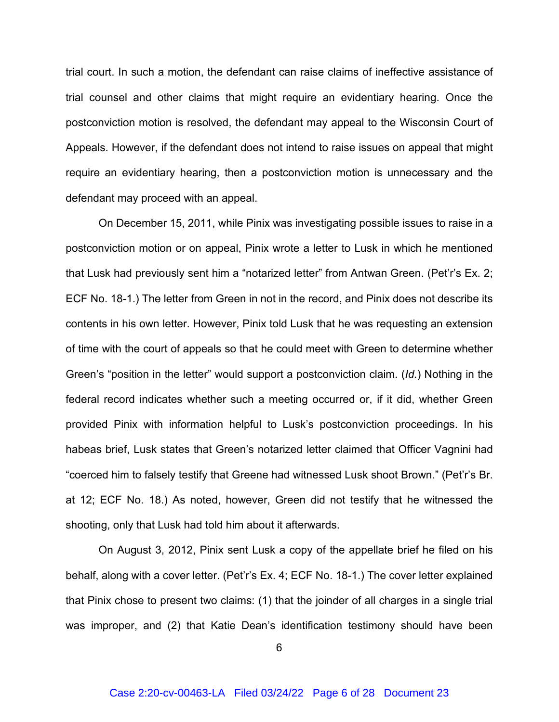trial court. In such a motion, the defendant can raise claims of ineffective assistance of trial counsel and other claims that might require an evidentiary hearing. Once the postconviction motion is resolved, the defendant may appeal to the Wisconsin Court of Appeals. However, if the defendant does not intend to raise issues on appeal that might require an evidentiary hearing, then a postconviction motion is unnecessary and the defendant may proceed with an appeal.

On December 15, 2011, while Pinix was investigating possible issues to raise in a postconviction motion or on appeal, Pinix wrote a letter to Lusk in which he mentioned that Lusk had previously sent him a "notarized letter" from Antwan Green. (Pet'r's Ex. 2; ECF No. 18-1.) The letter from Green in not in the record, and Pinix does not describe its contents in his own letter. However, Pinix told Lusk that he was requesting an extension of time with the court of appeals so that he could meet with Green to determine whether Green's "position in the letter" would support a postconviction claim. (*Id.*) Nothing in the federal record indicates whether such a meeting occurred or, if it did, whether Green provided Pinix with information helpful to Lusk's postconviction proceedings. In his habeas brief, Lusk states that Green's notarized letter claimed that Officer Vagnini had "coerced him to falsely testify that Greene had witnessed Lusk shoot Brown." (Pet'r's Br. at 12; ECF No. 18.) As noted, however, Green did not testify that he witnessed the shooting, only that Lusk had told him about it afterwards.

On August 3, 2012, Pinix sent Lusk a copy of the appellate brief he filed on his behalf, along with a cover letter. (Pet'r's Ex. 4; ECF No. 18-1.) The cover letter explained that Pinix chose to present two claims: (1) that the joinder of all charges in a single trial was improper, and (2) that Katie Dean's identification testimony should have been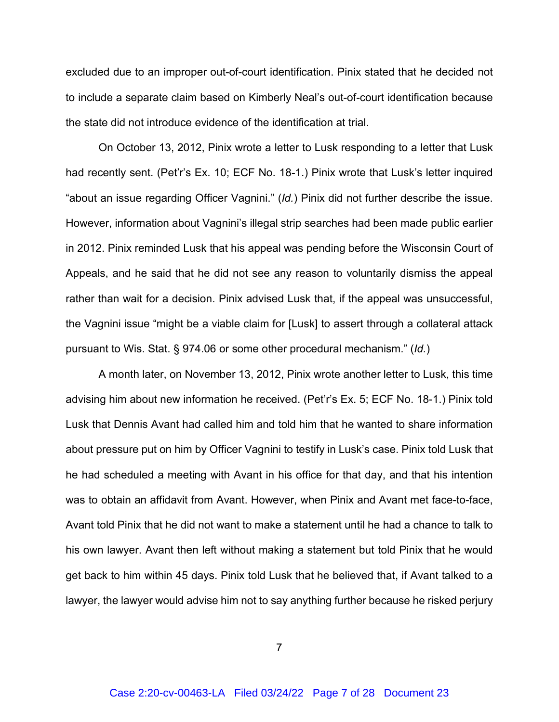excluded due to an improper out-of-court identification. Pinix stated that he decided not to include a separate claim based on Kimberly Neal's out-of-court identification because the state did not introduce evidence of the identification at trial.

On October 13, 2012, Pinix wrote a letter to Lusk responding to a letter that Lusk had recently sent. (Pet'r's Ex. 10; ECF No. 18-1.) Pinix wrote that Lusk's letter inquired "about an issue regarding Officer Vagnini." (*Id.*) Pinix did not further describe the issue. However, information about Vagnini's illegal strip searches had been made public earlier in 2012. Pinix reminded Lusk that his appeal was pending before the Wisconsin Court of Appeals, and he said that he did not see any reason to voluntarily dismiss the appeal rather than wait for a decision. Pinix advised Lusk that, if the appeal was unsuccessful, the Vagnini issue "might be a viable claim for [Lusk] to assert through a collateral attack pursuant to Wis. Stat. § 974.06 or some other procedural mechanism." (*Id.*)

A month later, on November 13, 2012, Pinix wrote another letter to Lusk, this time advising him about new information he received. (Pet'r's Ex. 5; ECF No. 18-1.) Pinix told Lusk that Dennis Avant had called him and told him that he wanted to share information about pressure put on him by Officer Vagnini to testify in Lusk's case. Pinix told Lusk that he had scheduled a meeting with Avant in his office for that day, and that his intention was to obtain an affidavit from Avant. However, when Pinix and Avant met face-to-face, Avant told Pinix that he did not want to make a statement until he had a chance to talk to his own lawyer. Avant then left without making a statement but told Pinix that he would get back to him within 45 days. Pinix told Lusk that he believed that, if Avant talked to a lawyer, the lawyer would advise him not to say anything further because he risked perjury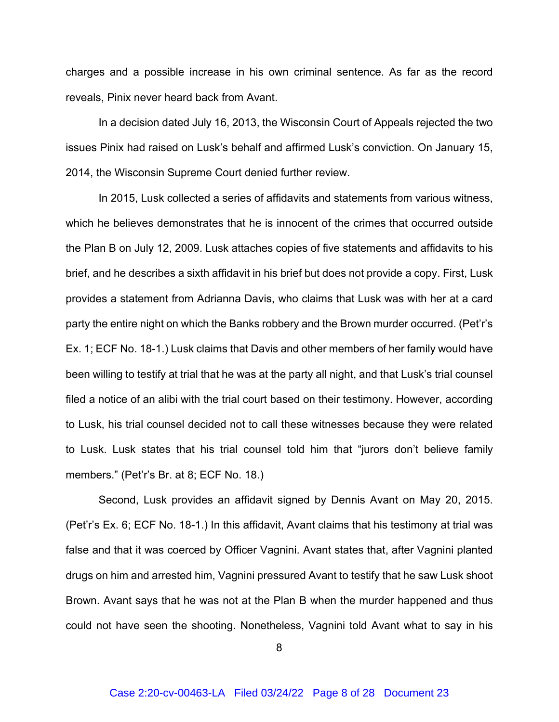charges and a possible increase in his own criminal sentence. As far as the record reveals, Pinix never heard back from Avant.

In a decision dated July 16, 2013, the Wisconsin Court of Appeals rejected the two issues Pinix had raised on Lusk's behalf and affirmed Lusk's conviction. On January 15, 2014, the Wisconsin Supreme Court denied further review.

In 2015, Lusk collected a series of affidavits and statements from various witness, which he believes demonstrates that he is innocent of the crimes that occurred outside the Plan B on July 12, 2009. Lusk attaches copies of five statements and affidavits to his brief, and he describes a sixth affidavit in his brief but does not provide a copy. First, Lusk provides a statement from Adrianna Davis, who claims that Lusk was with her at a card party the entire night on which the Banks robbery and the Brown murder occurred. (Pet'r's Ex. 1; ECF No. 18-1.) Lusk claims that Davis and other members of her family would have been willing to testify at trial that he was at the party all night, and that Lusk's trial counsel filed a notice of an alibi with the trial court based on their testimony. However, according to Lusk, his trial counsel decided not to call these witnesses because they were related to Lusk. Lusk states that his trial counsel told him that "jurors don't believe family members." (Pet'r's Br. at 8; ECF No. 18.)

Second, Lusk provides an affidavit signed by Dennis Avant on May 20, 2015. (Pet'r's Ex. 6; ECF No. 18-1.) In this affidavit, Avant claims that his testimony at trial was false and that it was coerced by Officer Vagnini. Avant states that, after Vagnini planted drugs on him and arrested him, Vagnini pressured Avant to testify that he saw Lusk shoot Brown. Avant says that he was not at the Plan B when the murder happened and thus could not have seen the shooting. Nonetheless, Vagnini told Avant what to say in his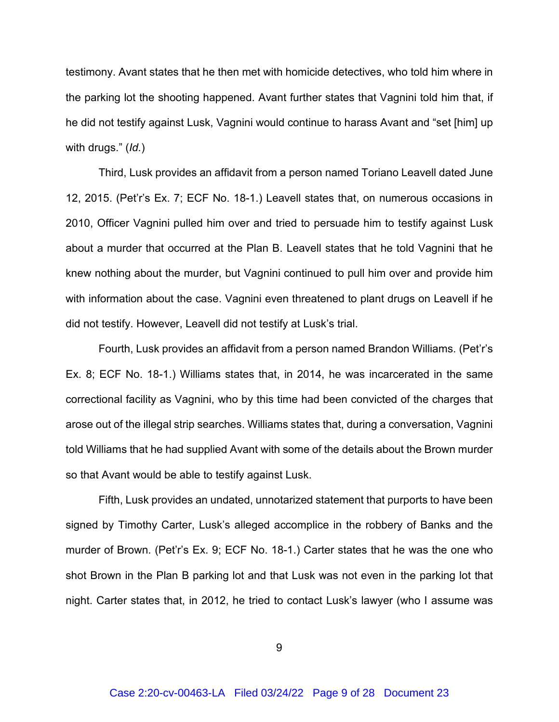testimony. Avant states that he then met with homicide detectives, who told him where in the parking lot the shooting happened. Avant further states that Vagnini told him that, if he did not testify against Lusk, Vagnini would continue to harass Avant and "set [him] up with drugs." (*Id.*)

Third, Lusk provides an affidavit from a person named Toriano Leavell dated June 12, 2015. (Pet'r's Ex. 7; ECF No. 18-1.) Leavell states that, on numerous occasions in 2010, Officer Vagnini pulled him over and tried to persuade him to testify against Lusk about a murder that occurred at the Plan B. Leavell states that he told Vagnini that he knew nothing about the murder, but Vagnini continued to pull him over and provide him with information about the case. Vagnini even threatened to plant drugs on Leavell if he did not testify. However, Leavell did not testify at Lusk's trial.

Fourth, Lusk provides an affidavit from a person named Brandon Williams. (Pet'r's Ex. 8; ECF No. 18-1.) Williams states that, in 2014, he was incarcerated in the same correctional facility as Vagnini, who by this time had been convicted of the charges that arose out of the illegal strip searches. Williams states that, during a conversation, Vagnini told Williams that he had supplied Avant with some of the details about the Brown murder so that Avant would be able to testify against Lusk.

Fifth, Lusk provides an undated, unnotarized statement that purports to have been signed by Timothy Carter, Lusk's alleged accomplice in the robbery of Banks and the murder of Brown. (Pet'r's Ex. 9; ECF No. 18-1.) Carter states that he was the one who shot Brown in the Plan B parking lot and that Lusk was not even in the parking lot that night. Carter states that, in 2012, he tried to contact Lusk's lawyer (who I assume was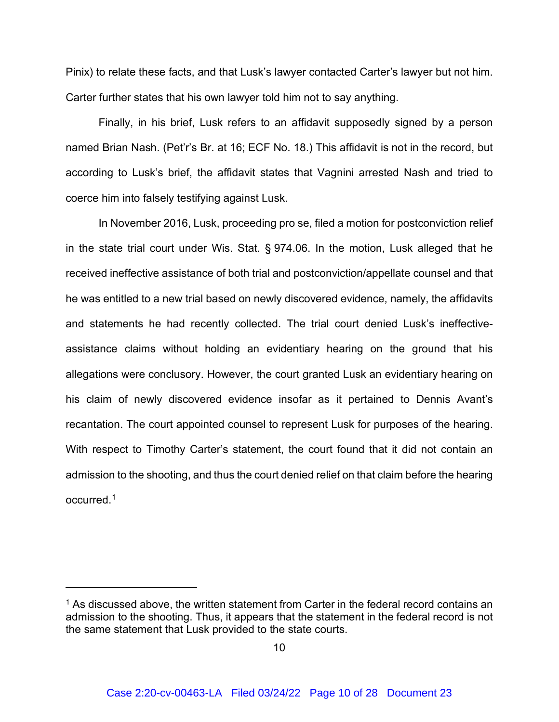Pinix) to relate these facts, and that Lusk's lawyer contacted Carter's lawyer but not him. Carter further states that his own lawyer told him not to say anything.

Finally, in his brief, Lusk refers to an affidavit supposedly signed by a person named Brian Nash. (Pet'r's Br. at 16; ECF No. 18.) This affidavit is not in the record, but according to Lusk's brief, the affidavit states that Vagnini arrested Nash and tried to coerce him into falsely testifying against Lusk.

In November 2016, Lusk, proceeding pro se, filed a motion for postconviction relief in the state trial court under Wis. Stat. § 974.06. In the motion, Lusk alleged that he received ineffective assistance of both trial and postconviction/appellate counsel and that he was entitled to a new trial based on newly discovered evidence, namely, the affidavits and statements he had recently collected. The trial court denied Lusk's ineffectiveassistance claims without holding an evidentiary hearing on the ground that his allegations were conclusory. However, the court granted Lusk an evidentiary hearing on his claim of newly discovered evidence insofar as it pertained to Dennis Avant's recantation. The court appointed counsel to represent Lusk for purposes of the hearing. With respect to Timothy Carter's statement, the court found that it did not contain an admission to the shooting, and thus the court denied relief on that claim before the hearing occurred. [1](#page-9-0)

<span id="page-9-0"></span> $1$  As discussed above, the written statement from Carter in the federal record contains an admission to the shooting. Thus, it appears that the statement in the federal record is not the same statement that Lusk provided to the state courts.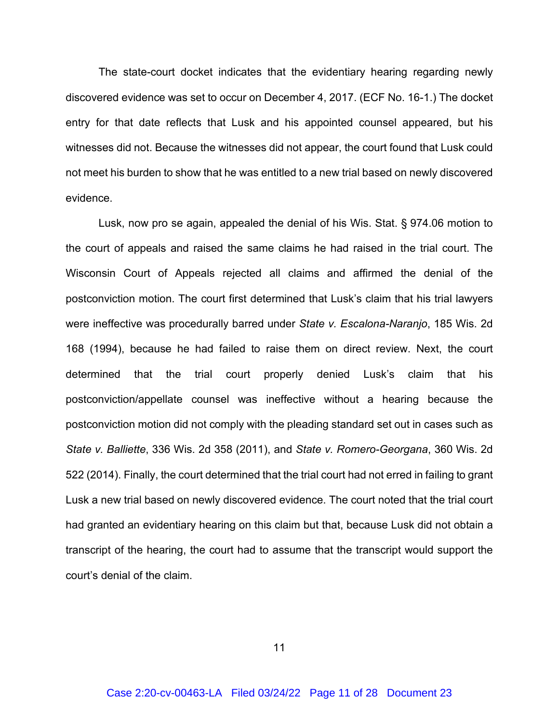The state-court docket indicates that the evidentiary hearing regarding newly discovered evidence was set to occur on December 4, 2017. (ECF No. 16-1.) The docket entry for that date reflects that Lusk and his appointed counsel appeared, but his witnesses did not. Because the witnesses did not appear, the court found that Lusk could not meet his burden to show that he was entitled to a new trial based on newly discovered evidence.

Lusk, now pro se again, appealed the denial of his Wis. Stat. § 974.06 motion to the court of appeals and raised the same claims he had raised in the trial court. The Wisconsin Court of Appeals rejected all claims and affirmed the denial of the postconviction motion. The court first determined that Lusk's claim that his trial lawyers were ineffective was procedurally barred under *State v. Escalona-Naranjo*, 185 Wis. 2d 168 (1994), because he had failed to raise them on direct review. Next, the court determined that the trial court properly denied Lusk's claim that his postconviction/appellate counsel was ineffective without a hearing because the postconviction motion did not comply with the pleading standard set out in cases such as *State v. Balliette*, 336 Wis. 2d 358 (2011), and *State v. Romero-Georgana*, 360 Wis. 2d 522 (2014). Finally, the court determined that the trial court had not erred in failing to grant Lusk a new trial based on newly discovered evidence. The court noted that the trial court had granted an evidentiary hearing on this claim but that, because Lusk did not obtain a transcript of the hearing, the court had to assume that the transcript would support the court's denial of the claim.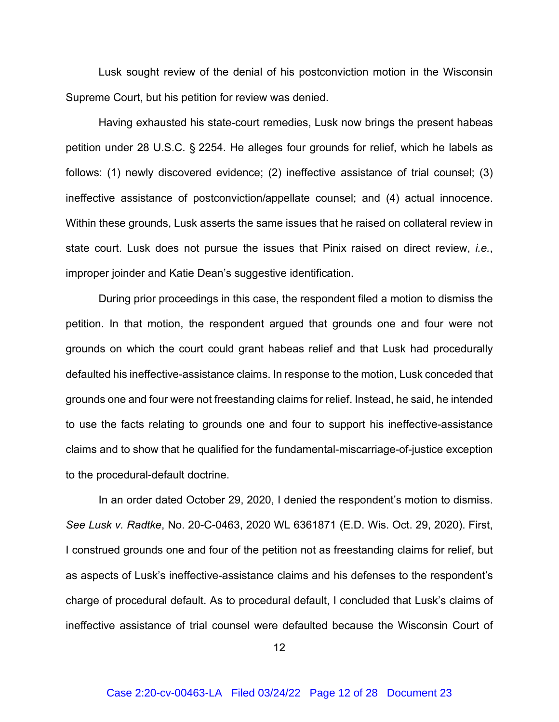Lusk sought review of the denial of his postconviction motion in the Wisconsin Supreme Court, but his petition for review was denied.

Having exhausted his state-court remedies, Lusk now brings the present habeas petition under 28 U.S.C. § 2254. He alleges four grounds for relief, which he labels as follows: (1) newly discovered evidence; (2) ineffective assistance of trial counsel; (3) ineffective assistance of postconviction/appellate counsel; and (4) actual innocence. Within these grounds, Lusk asserts the same issues that he raised on collateral review in state court. Lusk does not pursue the issues that Pinix raised on direct review, *i.e.*, improper joinder and Katie Dean's suggestive identification.

During prior proceedings in this case, the respondent filed a motion to dismiss the petition. In that motion, the respondent argued that grounds one and four were not grounds on which the court could grant habeas relief and that Lusk had procedurally defaulted his ineffective-assistance claims. In response to the motion, Lusk conceded that grounds one and four were not freestanding claims for relief. Instead, he said, he intended to use the facts relating to grounds one and four to support his ineffective-assistance claims and to show that he qualified for the fundamental-miscarriage-of-justice exception to the procedural-default doctrine.

In an order dated October 29, 2020, I denied the respondent's motion to dismiss. *See Lusk v. Radtke*, No. 20-C-0463, 2020 WL 6361871 (E.D. Wis. Oct. 29, 2020). First, I construed grounds one and four of the petition not as freestanding claims for relief, but as aspects of Lusk's ineffective-assistance claims and his defenses to the respondent's charge of procedural default. As to procedural default, I concluded that Lusk's claims of ineffective assistance of trial counsel were defaulted because the Wisconsin Court of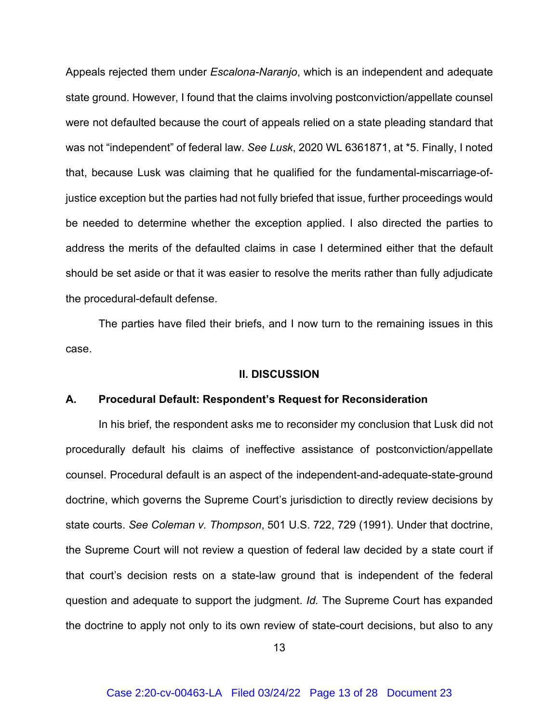Appeals rejected them under *Escalona-Naranjo*, which is an independent and adequate state ground. However, I found that the claims involving postconviction/appellate counsel were not defaulted because the court of appeals relied on a state pleading standard that was not "independent" of federal law. *See Lusk*, 2020 WL 6361871, at \*5. Finally, I noted that, because Lusk was claiming that he qualified for the fundamental-miscarriage-ofjustice exception but the parties had not fully briefed that issue, further proceedings would be needed to determine whether the exception applied. I also directed the parties to address the merits of the defaulted claims in case I determined either that the default should be set aside or that it was easier to resolve the merits rather than fully adjudicate the procedural-default defense.

The parties have filed their briefs, and I now turn to the remaining issues in this case.

#### **II. DISCUSSION**

#### **A. Procedural Default: Respondent's Request for Reconsideration**

In his brief, the respondent asks me to reconsider my conclusion that Lusk did not procedurally default his claims of ineffective assistance of postconviction/appellate counsel. Procedural default is an aspect of the independent-and-adequate-state-ground doctrine, which governs the Supreme Court's jurisdiction to directly review decisions by state courts. *See Coleman v. Thompson*, 501 U.S. 722, 729 (1991). Under that doctrine, the Supreme Court will not review a question of federal law decided by a state court if that court's decision rests on a state-law ground that is independent of the federal question and adequate to support the judgment. *Id.* The Supreme Court has expanded the doctrine to apply not only to its own review of state-court decisions, but also to any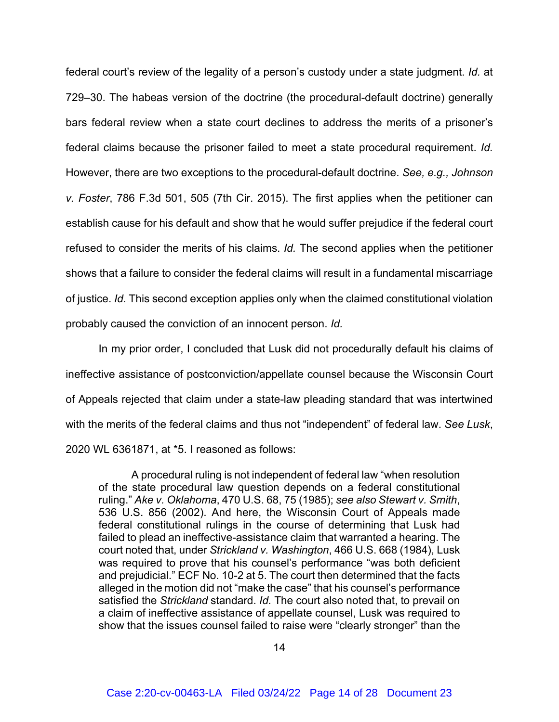federal court's review of the legality of a person's custody under a state judgment. *Id.* at 729–30. The habeas version of the doctrine (the procedural-default doctrine) generally bars federal review when a state court declines to address the merits of a prisoner's federal claims because the prisoner failed to meet a state procedural requirement. *Id.* However, there are two exceptions to the procedural-default doctrine. *See, e.g., Johnson v. Foster*, 786 F.3d 501, 505 (7th Cir. 2015). The first applies when the petitioner can establish cause for his default and show that he would suffer prejudice if the federal court refused to consider the merits of his claims. *Id.* The second applies when the petitioner shows that a failure to consider the federal claims will result in a fundamental miscarriage of justice. *Id.* This second exception applies only when the claimed constitutional violation probably caused the conviction of an innocent person. *Id.*

In my prior order, I concluded that Lusk did not procedurally default his claims of ineffective assistance of postconviction/appellate counsel because the Wisconsin Court of Appeals rejected that claim under a state-law pleading standard that was intertwined with the merits of the federal claims and thus not "independent" of federal law. *See Lusk*, 2020 WL 6361871, at \*5. I reasoned as follows:

A procedural ruling is not independent of federal law "when resolution of the state procedural law question depends on a federal constitutional ruling." *Ake v. Oklahoma*, 470 U.S. 68, 75 (1985); *see also Stewart v. Smith*, 536 U.S. 856 (2002). And here, the Wisconsin Court of Appeals made federal constitutional rulings in the course of determining that Lusk had failed to plead an ineffective-assistance claim that warranted a hearing. The court noted that, under *Strickland v. Washington*, 466 U.S. 668 (1984), Lusk was required to prove that his counsel's performance "was both deficient and prejudicial." ECF No. 10-2 at 5. The court then determined that the facts alleged in the motion did not "make the case" that his counsel's performance satisfied the *Strickland* standard. *Id.* The court also noted that, to prevail on a claim of ineffective assistance of appellate counsel, Lusk was required to show that the issues counsel failed to raise were "clearly stronger" than the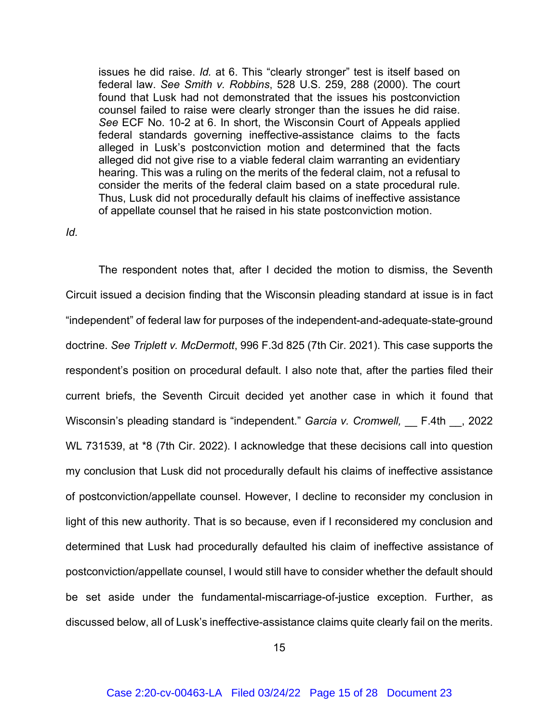issues he did raise. *Id.* at 6. This "clearly stronger" test is itself based on federal law. *See Smith v. Robbins*, 528 U.S. 259, 288 (2000). The court found that Lusk had not demonstrated that the issues his postconviction counsel failed to raise were clearly stronger than the issues he did raise. *See* ECF No. 10-2 at 6. In short, the Wisconsin Court of Appeals applied federal standards governing ineffective-assistance claims to the facts alleged in Lusk's postconviction motion and determined that the facts alleged did not give rise to a viable federal claim warranting an evidentiary hearing. This was a ruling on the merits of the federal claim, not a refusal to consider the merits of the federal claim based on a state procedural rule. Thus, Lusk did not procedurally default his claims of ineffective assistance of appellate counsel that he raised in his state postconviction motion.

## *Id.*

The respondent notes that, after I decided the motion to dismiss, the Seventh Circuit issued a decision finding that the Wisconsin pleading standard at issue is in fact "independent" of federal law for purposes of the independent-and-adequate-state-ground doctrine. *See Triplett v. McDermott*, 996 F.3d 825 (7th Cir. 2021). This case supports the respondent's position on procedural default. I also note that, after the parties filed their current briefs, the Seventh Circuit decided yet another case in which it found that Wisconsin's pleading standard is "independent." *Garcia v. Cromwell*, F.4th , 2022 WL 731539, at \*8 (7th Cir. 2022). I acknowledge that these decisions call into question my conclusion that Lusk did not procedurally default his claims of ineffective assistance of postconviction/appellate counsel. However, I decline to reconsider my conclusion in light of this new authority. That is so because, even if I reconsidered my conclusion and determined that Lusk had procedurally defaulted his claim of ineffective assistance of postconviction/appellate counsel, I would still have to consider whether the default should be set aside under the fundamental-miscarriage-of-justice exception. Further, as discussed below, all of Lusk's ineffective-assistance claims quite clearly fail on the merits.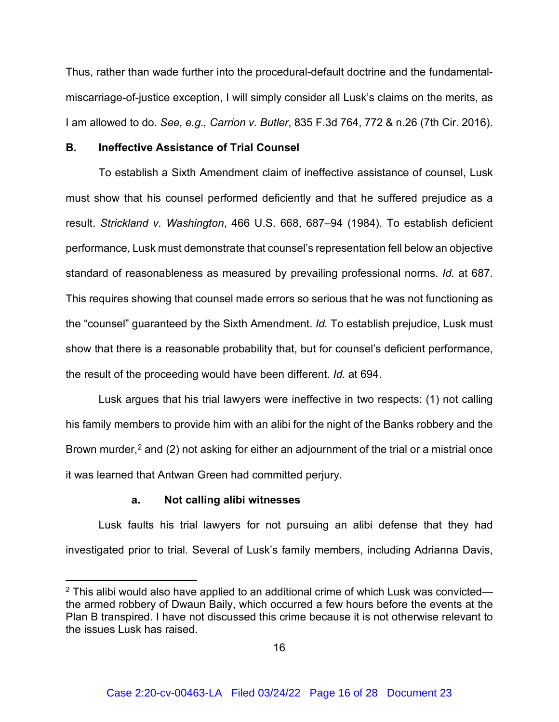Thus, rather than wade further into the procedural-default doctrine and the fundamentalmiscarriage-of-justice exception, I will simply consider all Lusk's claims on the merits, as I am allowed to do. *See, e.g., Carrion v. Butler*, 835 F.3d 764, 772 & n.26 (7th Cir. 2016).

## **B. Ineffective Assistance of Trial Counsel**

To establish a Sixth Amendment claim of ineffective assistance of counsel, Lusk must show that his counsel performed deficiently and that he suffered prejudice as a result. *Strickland v. Washington*, 466 U.S. 668, 687–94 (1984). To establish deficient performance, Lusk must demonstrate that counsel's representation fell below an objective standard of reasonableness as measured by prevailing professional norms. *Id.* at 687. This requires showing that counsel made errors so serious that he was not functioning as the "counsel" guaranteed by the Sixth Amendment. *Id.* To establish prejudice, Lusk must show that there is a reasonable probability that, but for counsel's deficient performance, the result of the proceeding would have been different. *Id.* at 694.

Lusk argues that his trial lawyers were ineffective in two respects: (1) not calling his family members to provide him with an alibi for the night of the Banks robbery and the Brown murder,<sup>[2](#page-15-0)</sup> and (2) not asking for either an adjournment of the trial or a mistrial once it was learned that Antwan Green had committed perjury.

#### **a. Not calling alibi witnesses**

Lusk faults his trial lawyers for not pursuing an alibi defense that they had investigated prior to trial. Several of Lusk's family members, including Adrianna Davis,

<span id="page-15-0"></span> $2$  This alibi would also have applied to an additional crime of which Lusk was convicted the armed robbery of Dwaun Baily, which occurred a few hours before the events at the Plan B transpired. I have not discussed this crime because it is not otherwise relevant to the issues Lusk has raised.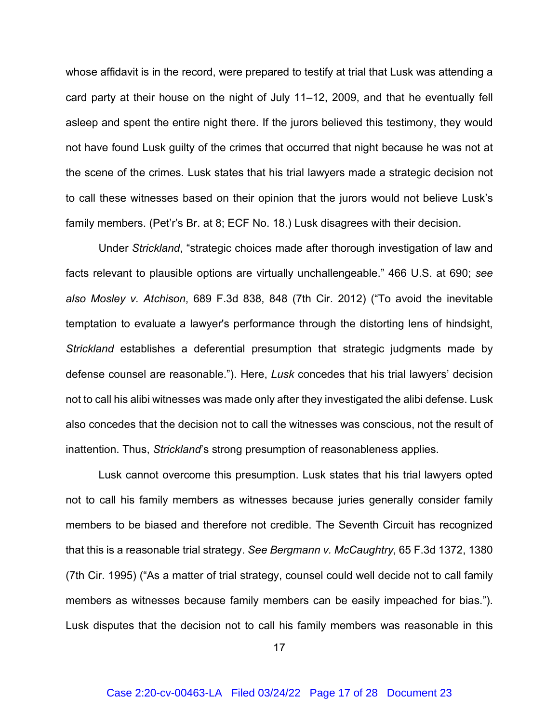whose affidavit is in the record, were prepared to testify at trial that Lusk was attending a card party at their house on the night of July 11–12, 2009, and that he eventually fell asleep and spent the entire night there. If the jurors believed this testimony, they would not have found Lusk guilty of the crimes that occurred that night because he was not at the scene of the crimes. Lusk states that his trial lawyers made a strategic decision not to call these witnesses based on their opinion that the jurors would not believe Lusk's family members. (Pet'r's Br. at 8; ECF No. 18.) Lusk disagrees with their decision.

Under *Strickland*, "strategic choices made after thorough investigation of law and facts relevant to plausible options are virtually unchallengeable." 466 U.S. at 690; *see also Mosley v. Atchison*, 689 F.3d 838, 848 (7th Cir. 2012) ("To avoid the inevitable temptation to evaluate a lawyer's performance through the distorting lens of hindsight, *Strickland* establishes a deferential presumption that strategic judgments made by defense counsel are reasonable."). Here, *Lusk* concedes that his trial lawyers' decision not to call his alibi witnesses was made only after they investigated the alibi defense. Lusk also concedes that the decision not to call the witnesses was conscious, not the result of inattention. Thus, *Strickland*'s strong presumption of reasonableness applies.

Lusk cannot overcome this presumption. Lusk states that his trial lawyers opted not to call his family members as witnesses because juries generally consider family members to be biased and therefore not credible. The Seventh Circuit has recognized that this is a reasonable trial strategy. *See Bergmann v. McCaughtry*, 65 F.3d 1372, 1380 (7th Cir. 1995) ("As a matter of trial strategy, counsel could well decide not to call family members as witnesses because family members can be easily impeached for bias."). Lusk disputes that the decision not to call his family members was reasonable in this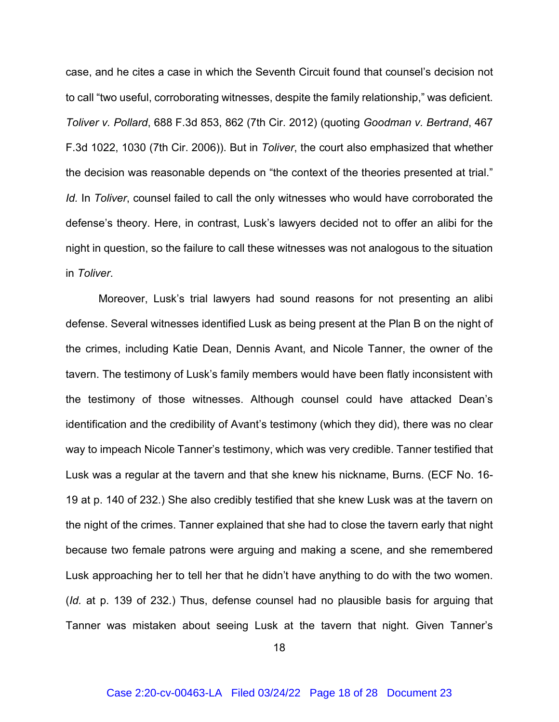case, and he cites a case in which the Seventh Circuit found that counsel's decision not to call "two useful, corroborating witnesses, despite the family relationship," was deficient. *Toliver v. Pollard*, 688 F.3d 853, 862 (7th Cir. 2012) (quoting *Goodman v. Bertrand*, 467 F.3d 1022, 1030 (7th Cir. 2006)). But in *Toliver*, the court also emphasized that whether the decision was reasonable depends on "the context of the theories presented at trial." *Id.* In *Toliver*, counsel failed to call the only witnesses who would have corroborated the defense's theory. Here, in contrast, Lusk's lawyers decided not to offer an alibi for the night in question, so the failure to call these witnesses was not analogous to the situation in *Toliver*.

Moreover, Lusk's trial lawyers had sound reasons for not presenting an alibi defense. Several witnesses identified Lusk as being present at the Plan B on the night of the crimes, including Katie Dean, Dennis Avant, and Nicole Tanner, the owner of the tavern. The testimony of Lusk's family members would have been flatly inconsistent with the testimony of those witnesses. Although counsel could have attacked Dean's identification and the credibility of Avant's testimony (which they did), there was no clear way to impeach Nicole Tanner's testimony, which was very credible. Tanner testified that Lusk was a regular at the tavern and that she knew his nickname, Burns. (ECF No. 16- 19 at p. 140 of 232.) She also credibly testified that she knew Lusk was at the tavern on the night of the crimes. Tanner explained that she had to close the tavern early that night because two female patrons were arguing and making a scene, and she remembered Lusk approaching her to tell her that he didn't have anything to do with the two women. (*Id.* at p. 139 of 232.) Thus, defense counsel had no plausible basis for arguing that Tanner was mistaken about seeing Lusk at the tavern that night. Given Tanner's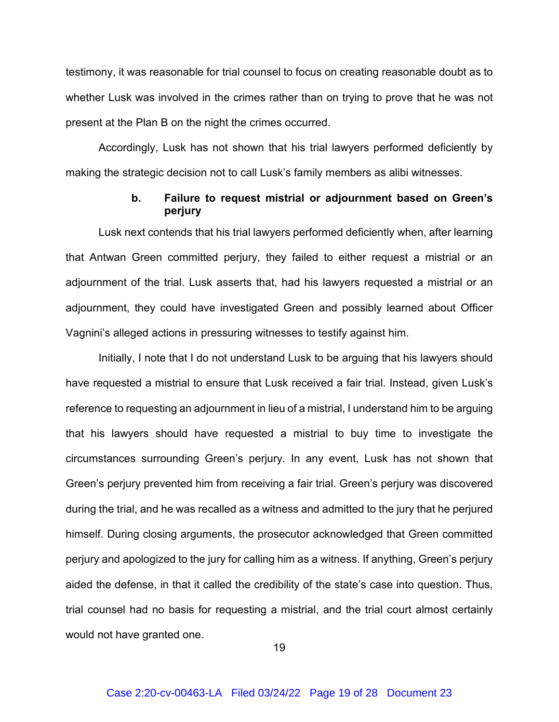testimony, it was reasonable for trial counsel to focus on creating reasonable doubt as to whether Lusk was involved in the crimes rather than on trying to prove that he was not present at the Plan B on the night the crimes occurred.

Accordingly, Lusk has not shown that his trial lawyers performed deficiently by making the strategic decision not to call Lusk's family members as alibi witnesses.

## **b. Failure to request mistrial or adjournment based on Green's perjury**

Lusk next contends that his trial lawyers performed deficiently when, after learning that Antwan Green committed perjury, they failed to either request a mistrial or an adjournment of the trial. Lusk asserts that, had his lawyers requested a mistrial or an adjournment, they could have investigated Green and possibly learned about Officer Vagnini's alleged actions in pressuring witnesses to testify against him.

Initially, I note that I do not understand Lusk to be arguing that his lawyers should have requested a mistrial to ensure that Lusk received a fair trial. Instead, given Lusk's reference to requesting an adjournment in lieu of a mistrial, I understand him to be arguing that his lawyers should have requested a mistrial to buy time to investigate the circumstances surrounding Green's perjury. In any event, Lusk has not shown that Green's perjury prevented him from receiving a fair trial. Green's perjury was discovered during the trial, and he was recalled as a witness and admitted to the jury that he perjured himself. During closing arguments, the prosecutor acknowledged that Green committed perjury and apologized to the jury for calling him as a witness. If anything, Green's perjury aided the defense, in that it called the credibility of the state's case into question. Thus, trial counsel had no basis for requesting a mistrial, and the trial court almost certainly would not have granted one.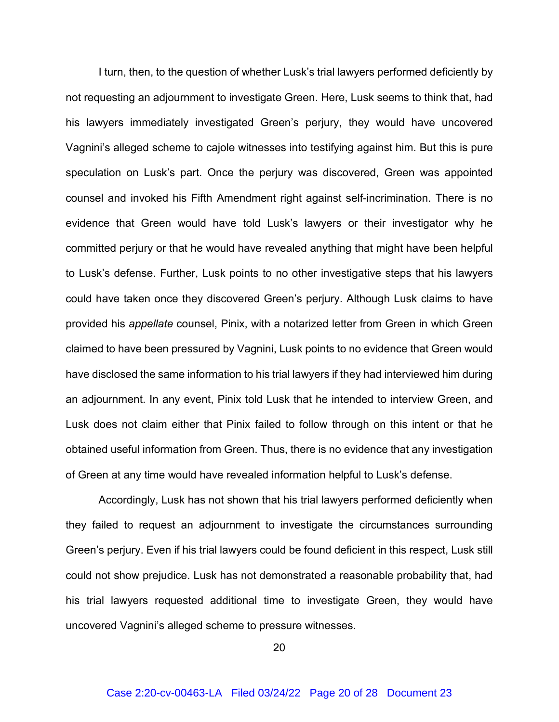I turn, then, to the question of whether Lusk's trial lawyers performed deficiently by not requesting an adjournment to investigate Green. Here, Lusk seems to think that, had his lawyers immediately investigated Green's perjury, they would have uncovered Vagnini's alleged scheme to cajole witnesses into testifying against him. But this is pure speculation on Lusk's part. Once the perjury was discovered, Green was appointed counsel and invoked his Fifth Amendment right against self-incrimination. There is no evidence that Green would have told Lusk's lawyers or their investigator why he committed perjury or that he would have revealed anything that might have been helpful to Lusk's defense. Further, Lusk points to no other investigative steps that his lawyers could have taken once they discovered Green's perjury. Although Lusk claims to have provided his *appellate* counsel, Pinix, with a notarized letter from Green in which Green claimed to have been pressured by Vagnini, Lusk points to no evidence that Green would have disclosed the same information to his trial lawyers if they had interviewed him during an adjournment. In any event, Pinix told Lusk that he intended to interview Green, and Lusk does not claim either that Pinix failed to follow through on this intent or that he obtained useful information from Green. Thus, there is no evidence that any investigation of Green at any time would have revealed information helpful to Lusk's defense.

Accordingly, Lusk has not shown that his trial lawyers performed deficiently when they failed to request an adjournment to investigate the circumstances surrounding Green's perjury. Even if his trial lawyers could be found deficient in this respect, Lusk still could not show prejudice. Lusk has not demonstrated a reasonable probability that, had his trial lawyers requested additional time to investigate Green, they would have uncovered Vagnini's alleged scheme to pressure witnesses.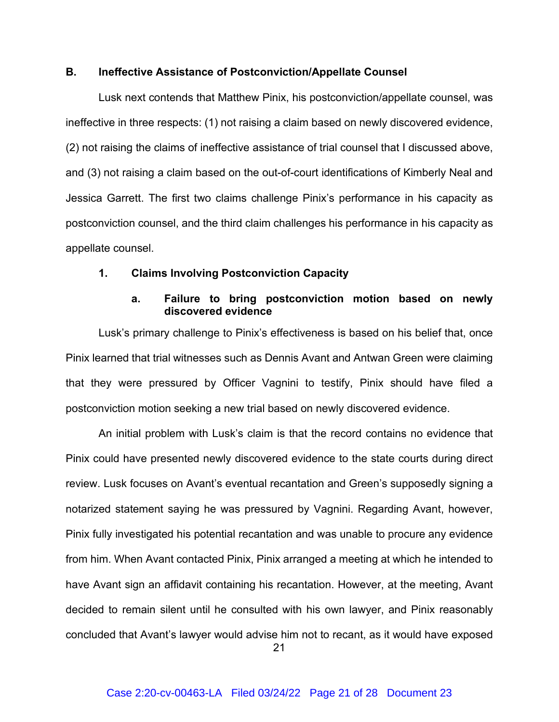## **B. Ineffective Assistance of Postconviction/Appellate Counsel**

Lusk next contends that Matthew Pinix, his postconviction/appellate counsel, was ineffective in three respects: (1) not raising a claim based on newly discovered evidence, (2) not raising the claims of ineffective assistance of trial counsel that I discussed above, and (3) not raising a claim based on the out-of-court identifications of Kimberly Neal and Jessica Garrett. The first two claims challenge Pinix's performance in his capacity as postconviction counsel, and the third claim challenges his performance in his capacity as appellate counsel.

## **1. Claims Involving Postconviction Capacity**

# **a. Failure to bring postconviction motion based on newly discovered evidence**

Lusk's primary challenge to Pinix's effectiveness is based on his belief that, once Pinix learned that trial witnesses such as Dennis Avant and Antwan Green were claiming that they were pressured by Officer Vagnini to testify, Pinix should have filed a postconviction motion seeking a new trial based on newly discovered evidence.

An initial problem with Lusk's claim is that the record contains no evidence that Pinix could have presented newly discovered evidence to the state courts during direct review. Lusk focuses on Avant's eventual recantation and Green's supposedly signing a notarized statement saying he was pressured by Vagnini. Regarding Avant, however, Pinix fully investigated his potential recantation and was unable to procure any evidence from him. When Avant contacted Pinix, Pinix arranged a meeting at which he intended to have Avant sign an affidavit containing his recantation. However, at the meeting, Avant decided to remain silent until he consulted with his own lawyer, and Pinix reasonably concluded that Avant's lawyer would advise him not to recant, as it would have exposed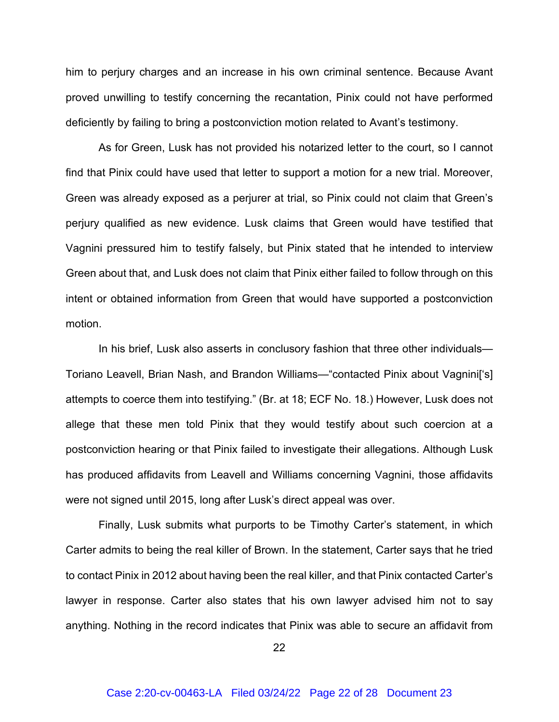him to perjury charges and an increase in his own criminal sentence. Because Avant proved unwilling to testify concerning the recantation, Pinix could not have performed deficiently by failing to bring a postconviction motion related to Avant's testimony.

As for Green, Lusk has not provided his notarized letter to the court, so I cannot find that Pinix could have used that letter to support a motion for a new trial. Moreover, Green was already exposed as a perjurer at trial, so Pinix could not claim that Green's perjury qualified as new evidence. Lusk claims that Green would have testified that Vagnini pressured him to testify falsely, but Pinix stated that he intended to interview Green about that, and Lusk does not claim that Pinix either failed to follow through on this intent or obtained information from Green that would have supported a postconviction motion.

In his brief, Lusk also asserts in conclusory fashion that three other individuals— Toriano Leavell, Brian Nash, and Brandon Williams—"contacted Pinix about Vagnini['s] attempts to coerce them into testifying." (Br. at 18; ECF No. 18.) However, Lusk does not allege that these men told Pinix that they would testify about such coercion at a postconviction hearing or that Pinix failed to investigate their allegations. Although Lusk has produced affidavits from Leavell and Williams concerning Vagnini, those affidavits were not signed until 2015, long after Lusk's direct appeal was over.

Finally, Lusk submits what purports to be Timothy Carter's statement, in which Carter admits to being the real killer of Brown. In the statement, Carter says that he tried to contact Pinix in 2012 about having been the real killer, and that Pinix contacted Carter's lawyer in response. Carter also states that his own lawyer advised him not to say anything. Nothing in the record indicates that Pinix was able to secure an affidavit from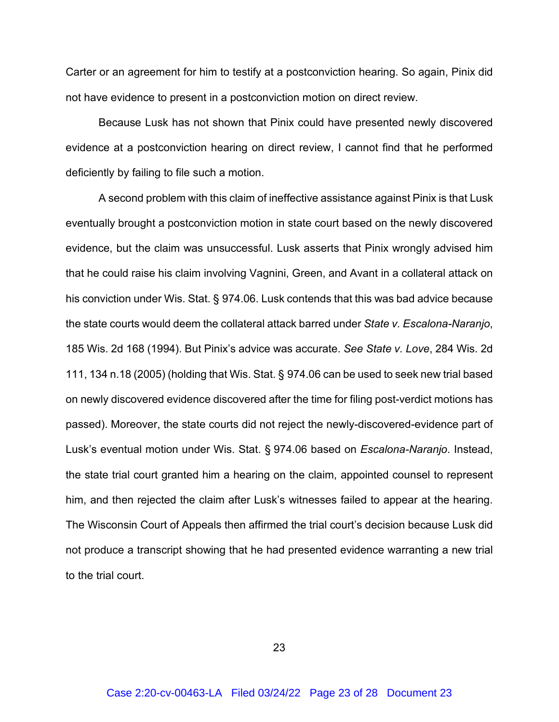Carter or an agreement for him to testify at a postconviction hearing. So again, Pinix did not have evidence to present in a postconviction motion on direct review.

Because Lusk has not shown that Pinix could have presented newly discovered evidence at a postconviction hearing on direct review, I cannot find that he performed deficiently by failing to file such a motion.

A second problem with this claim of ineffective assistance against Pinix is that Lusk eventually brought a postconviction motion in state court based on the newly discovered evidence, but the claim was unsuccessful. Lusk asserts that Pinix wrongly advised him that he could raise his claim involving Vagnini, Green, and Avant in a collateral attack on his conviction under Wis. Stat. § 974.06. Lusk contends that this was bad advice because the state courts would deem the collateral attack barred under *State v. Escalona-Naranjo*, 185 Wis. 2d 168 (1994). But Pinix's advice was accurate. *See State v. Love*, 284 Wis. 2d 111, 134 n.18 (2005) (holding that Wis. Stat. § 974.06 can be used to seek new trial based on newly discovered evidence discovered after the time for filing post-verdict motions has passed). Moreover, the state courts did not reject the newly-discovered-evidence part of Lusk's eventual motion under Wis. Stat. § 974.06 based on *Escalona-Naranjo*. Instead, the state trial court granted him a hearing on the claim, appointed counsel to represent him, and then rejected the claim after Lusk's witnesses failed to appear at the hearing. The Wisconsin Court of Appeals then affirmed the trial court's decision because Lusk did not produce a transcript showing that he had presented evidence warranting a new trial to the trial court.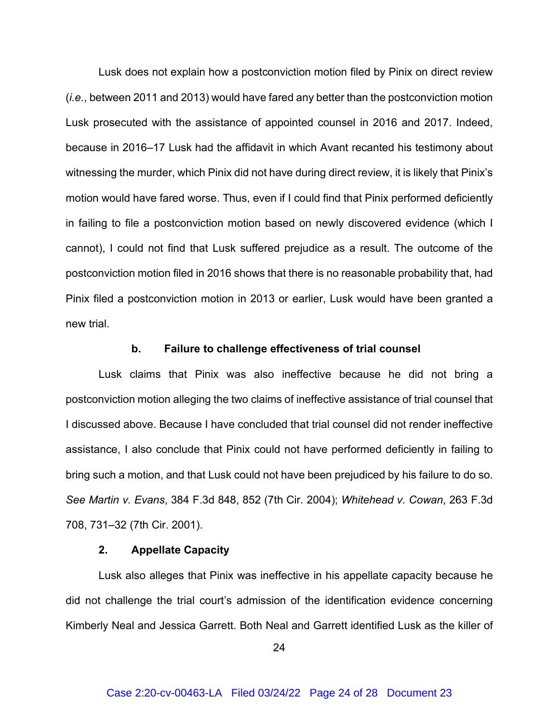Lusk does not explain how a postconviction motion filed by Pinix on direct review (*i.e.*, between 2011 and 2013) would have fared any better than the postconviction motion Lusk prosecuted with the assistance of appointed counsel in 2016 and 2017. Indeed, because in 2016–17 Lusk had the affidavit in which Avant recanted his testimony about witnessing the murder, which Pinix did not have during direct review, it is likely that Pinix's motion would have fared worse. Thus, even if I could find that Pinix performed deficiently in failing to file a postconviction motion based on newly discovered evidence (which I cannot), I could not find that Lusk suffered prejudice as a result. The outcome of the postconviction motion filed in 2016 shows that there is no reasonable probability that, had Pinix filed a postconviction motion in 2013 or earlier, Lusk would have been granted a new trial.

#### **b. Failure to challenge effectiveness of trial counsel**

Lusk claims that Pinix was also ineffective because he did not bring a postconviction motion alleging the two claims of ineffective assistance of trial counsel that I discussed above. Because I have concluded that trial counsel did not render ineffective assistance, I also conclude that Pinix could not have performed deficiently in failing to bring such a motion, and that Lusk could not have been prejudiced by his failure to do so. *See Martin v. Evans*, 384 F.3d 848, 852 (7th Cir. 2004); *Whitehead v. Cowan*, 263 F.3d 708, 731–32 (7th Cir. 2001).

#### **2. Appellate Capacity**

Lusk also alleges that Pinix was ineffective in his appellate capacity because he did not challenge the trial court's admission of the identification evidence concerning Kimberly Neal and Jessica Garrett. Both Neal and Garrett identified Lusk as the killer of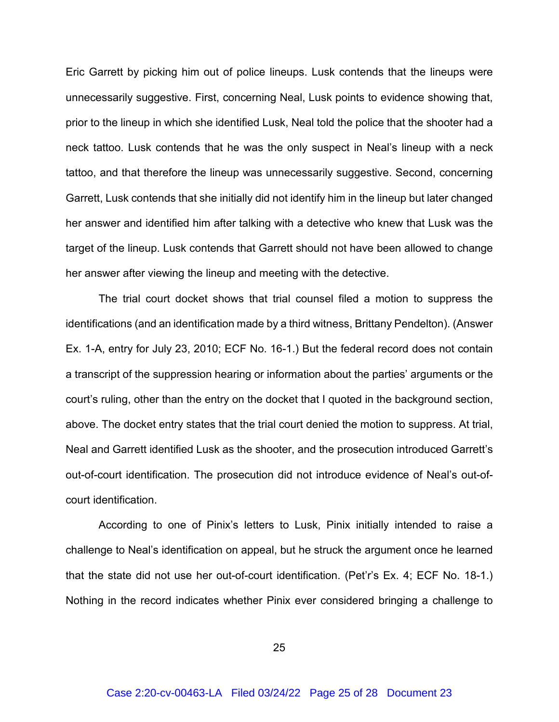Eric Garrett by picking him out of police lineups. Lusk contends that the lineups were unnecessarily suggestive. First, concerning Neal, Lusk points to evidence showing that, prior to the lineup in which she identified Lusk, Neal told the police that the shooter had a neck tattoo. Lusk contends that he was the only suspect in Neal's lineup with a neck tattoo, and that therefore the lineup was unnecessarily suggestive. Second, concerning Garrett, Lusk contends that she initially did not identify him in the lineup but later changed her answer and identified him after talking with a detective who knew that Lusk was the target of the lineup. Lusk contends that Garrett should not have been allowed to change her answer after viewing the lineup and meeting with the detective.

The trial court docket shows that trial counsel filed a motion to suppress the identifications (and an identification made by a third witness, Brittany Pendelton). (Answer Ex. 1-A, entry for July 23, 2010; ECF No. 16-1.) But the federal record does not contain a transcript of the suppression hearing or information about the parties' arguments or the court's ruling, other than the entry on the docket that I quoted in the background section, above. The docket entry states that the trial court denied the motion to suppress. At trial, Neal and Garrett identified Lusk as the shooter, and the prosecution introduced Garrett's out-of-court identification. The prosecution did not introduce evidence of Neal's out-ofcourt identification.

According to one of Pinix's letters to Lusk, Pinix initially intended to raise a challenge to Neal's identification on appeal, but he struck the argument once he learned that the state did not use her out-of-court identification. (Pet'r's Ex. 4; ECF No. 18-1.) Nothing in the record indicates whether Pinix ever considered bringing a challenge to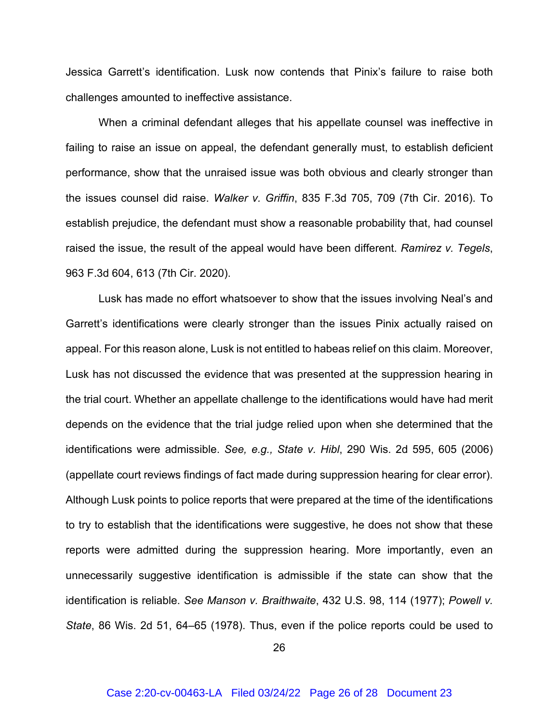Jessica Garrett's identification. Lusk now contends that Pinix's failure to raise both challenges amounted to ineffective assistance.

When a criminal defendant alleges that his appellate counsel was ineffective in failing to raise an issue on appeal, the defendant generally must, to establish deficient performance, show that the unraised issue was both obvious and clearly stronger than the issues counsel did raise. *Walker v. Griffin*, 835 F.3d 705, 709 (7th Cir. 2016). To establish prejudice, the defendant must show a reasonable probability that, had counsel raised the issue, the result of the appeal would have been different. *Ramirez v. Tegels*, 963 F.3d 604, 613 (7th Cir. 2020).

Lusk has made no effort whatsoever to show that the issues involving Neal's and Garrett's identifications were clearly stronger than the issues Pinix actually raised on appeal. For this reason alone, Lusk is not entitled to habeas relief on this claim. Moreover, Lusk has not discussed the evidence that was presented at the suppression hearing in the trial court. Whether an appellate challenge to the identifications would have had merit depends on the evidence that the trial judge relied upon when she determined that the identifications were admissible. *See, e.g., State v. Hibl*, 290 Wis. 2d 595, 605 (2006) (appellate court reviews findings of fact made during suppression hearing for clear error). Although Lusk points to police reports that were prepared at the time of the identifications to try to establish that the identifications were suggestive, he does not show that these reports were admitted during the suppression hearing. More importantly, even an unnecessarily suggestive identification is admissible if the state can show that the identification is reliable. *See Manson v. Braithwaite*, 432 U.S. 98, 114 (1977); *Powell v. State*, 86 Wis. 2d 51, 64–65 (1978). Thus, even if the police reports could be used to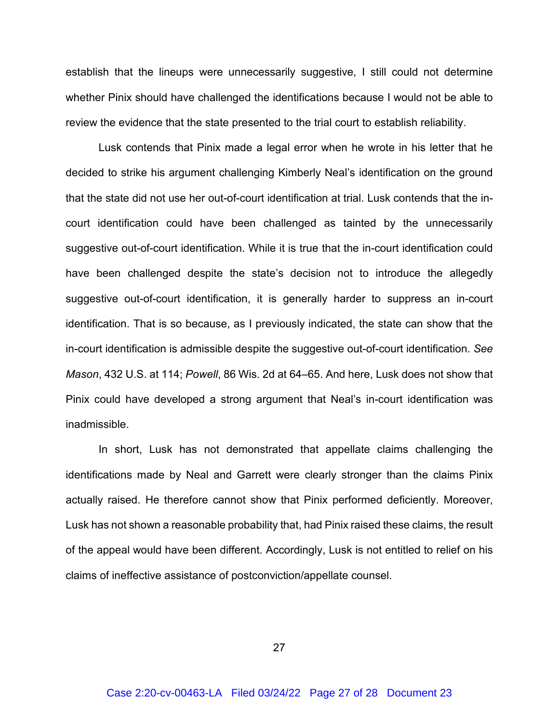establish that the lineups were unnecessarily suggestive, I still could not determine whether Pinix should have challenged the identifications because I would not be able to review the evidence that the state presented to the trial court to establish reliability.

Lusk contends that Pinix made a legal error when he wrote in his letter that he decided to strike his argument challenging Kimberly Neal's identification on the ground that the state did not use her out-of-court identification at trial. Lusk contends that the incourt identification could have been challenged as tainted by the unnecessarily suggestive out-of-court identification. While it is true that the in-court identification could have been challenged despite the state's decision not to introduce the allegedly suggestive out-of-court identification, it is generally harder to suppress an in-court identification. That is so because, as I previously indicated, the state can show that the in-court identification is admissible despite the suggestive out-of-court identification. *See Mason*, 432 U.S. at 114; *Powell*, 86 Wis. 2d at 64–65. And here, Lusk does not show that Pinix could have developed a strong argument that Neal's in-court identification was inadmissible.

In short, Lusk has not demonstrated that appellate claims challenging the identifications made by Neal and Garrett were clearly stronger than the claims Pinix actually raised. He therefore cannot show that Pinix performed deficiently. Moreover, Lusk has not shown a reasonable probability that, had Pinix raised these claims, the result of the appeal would have been different. Accordingly, Lusk is not entitled to relief on his claims of ineffective assistance of postconviction/appellate counsel.